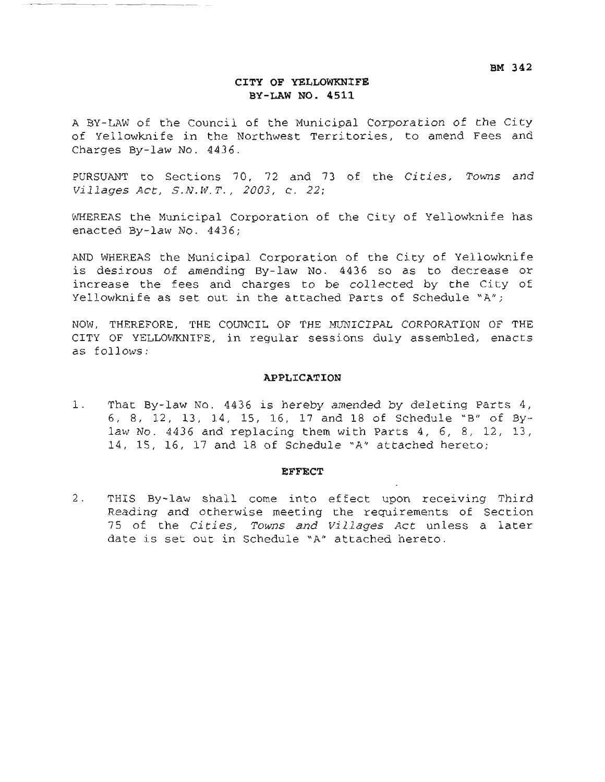BM 342

### CITY OF YELLOWKNIFE BY-LAW NO. 4511

A BY-LAW of the Council of the Municipal Corporation of the City of Yellowknife in the Northwest Territories, to amend Fees and Charges By-law No. 4436.

PURSUANT to Sections 70, 72 and 73 of the Cities, Towns and Villages Act, S.N.W.T., 2003, c. 22;

WHEREAS the Municipal Corporation of the City of Yellowknife has enacted By-law No. 4436;

AND WHEREAS the Municipal Corporation of the City of Yellowknife is desirous of amending By-law No. 4436 so as to decrease or increase the fees and charges to be collected by the City of Yellowknife as set out in the attached Parts of Schedule "A";

NOW, THEREFORE, THE COUNCIL OF THE MUNICIPAL CORPORATION OF THE CITY OF YELLOWKNIFE, in regular sessions duly assembled, enacts as follows:

### APPLICATION

 $1$ . That By-law No. 4436 is hereby amended by deleting Parts 4, 6, 8, 12, 13, 14, 15, 16, 17 and 18 of Schedule "B" of Bylaw No. 4436 and replacing them with Parts 4, 6, 8, 12, 13, 14, 15, 16, 17 and 18 of Schedule "A" attached hereto;

### **EFFECT**

 $2$ . THIS By-law shall come into effect upon receiving Third Reading and otherwise meeting the requirements of Section 75 of the Cities, Towns and Villages Act unless a later date is set out in Schedule "A" attached hereto.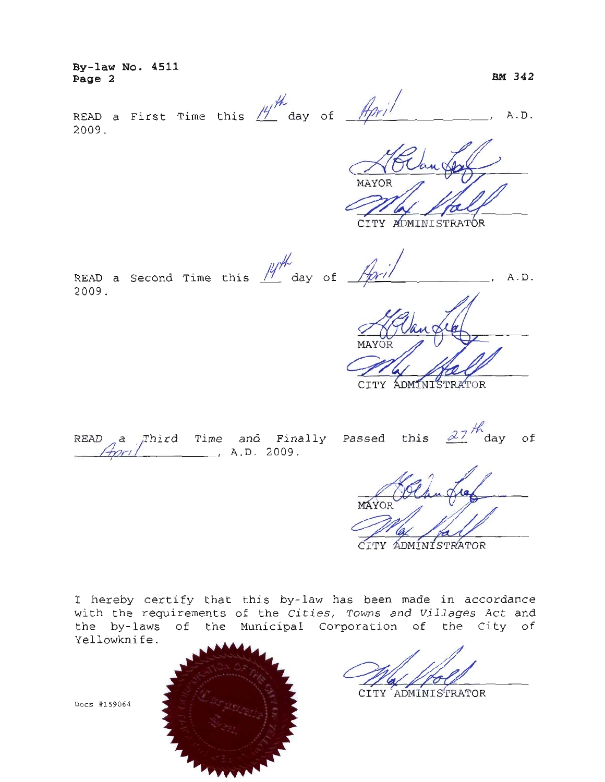By-law No. 4511 Page 2

BM 342

READ a First Time this  $\frac{14}{10}$  day of  $\frac{14}{10}$   $\frac{1}{10}$ A.D. 2009.

MAYOR

CITY ADMINISTRATOR

READ a Second Time this  $M^{\#}$  day of \_ A.D. 2009.

CITY ADMINISTRATOR

|  |  | READ a Third Time and Finally<br>April 1.D. 2009. |
|--|--|---------------------------------------------------|

this  $27 \frac{h}{\text{day}}$  of Passed

MAYOF CITY ADMINISTRATOR

I hereby certify that this by-law has been made in accordance with the requirements of the Cities, Towns and Villages Act and the by-laws of the Municipal Corporation of the City of Yellowknife.

CITY ADMINISTRATOR

Docs #159064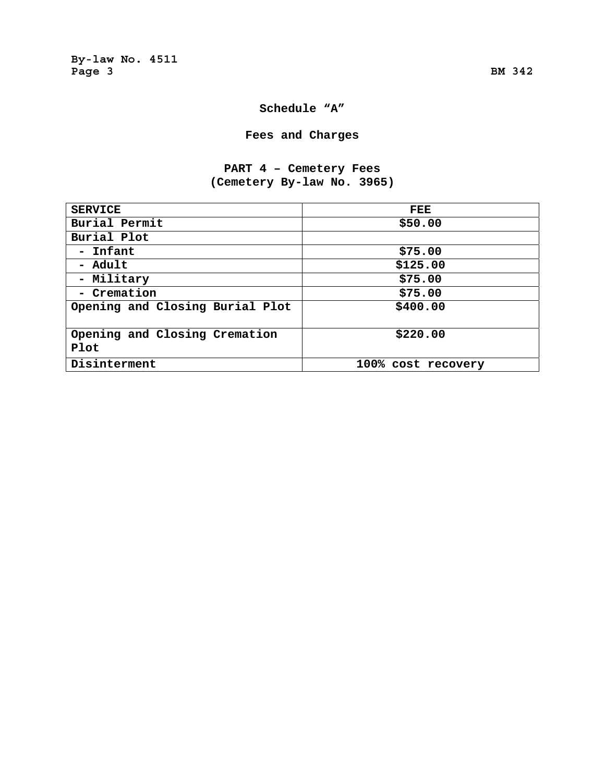## **Schedule "A"**

## **Fees and Charges**

## **PART 4 – Cemetery Fees (Cemetery By-law No. 3965)**

| <b>SERVICE</b>                        | FEE                |
|---------------------------------------|--------------------|
| Burial Permit                         | \$50.00            |
| Burial Plot                           |                    |
| - Infant                              | \$75.00            |
| - Adult                               | \$125.00           |
| - Military                            | \$75.00            |
| - Cremation                           | \$75.00            |
| Opening and Closing Burial Plot       | \$400.00           |
| Opening and Closing Cremation<br>Plot | \$220.00           |
| Disinterment                          | 100% cost recovery |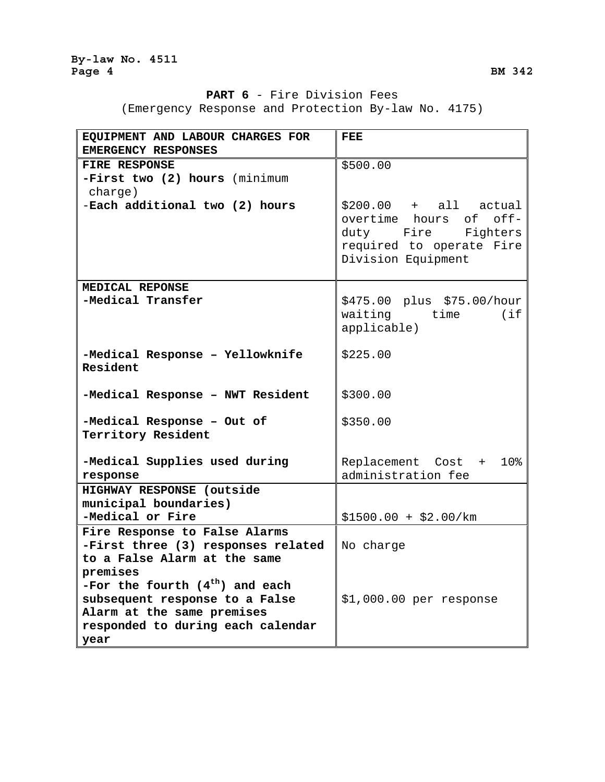## **PART 6** - Fire Division Fees

(Emergency Response and Protection By-law No. 4175)

| EQUIPMENT AND LABOUR CHARGES FOR<br>EMERGENCY RESPONSES         | FEE.                                           |
|-----------------------------------------------------------------|------------------------------------------------|
| <b>FIRE RESPONSE</b>                                            | \$500.00                                       |
| -First two (2) hours (minimum                                   |                                                |
| charge)                                                         |                                                |
| -Each additional two (2) hours                                  | $$200.00 + all actual$                         |
|                                                                 | overtime hours of off-                         |
|                                                                 | duty Fire<br>Fighters                          |
|                                                                 | required to operate Fire<br>Division Equipment |
|                                                                 |                                                |
| MEDICAL REPONSE                                                 |                                                |
| -Medical Transfer                                               | \$475.00 plus \$75.00/hour                     |
|                                                                 | waiting time (if                               |
|                                                                 | applicable)                                    |
| -Medical Response - Yellowknife                                 | \$225.00                                       |
| Resident                                                        |                                                |
|                                                                 |                                                |
| -Medical Response - NWT Resident                                | \$300.00                                       |
| -Medical Response - Out of                                      | \$350.00                                       |
| Territory Resident                                              |                                                |
|                                                                 |                                                |
| -Medical Supplies used during                                   | Replacement Cost + 10%                         |
| response<br>HIGHWAY RESPONSE (outside                           | administration fee                             |
| municipal boundaries)                                           |                                                |
| -Medical or Fire                                                | $$1500.00 + $2.00/km$                          |
| Fire Response to False Alarms                                   |                                                |
| -First three (3) responses related                              | No charge                                      |
| to a False Alarm at the same                                    |                                                |
| premises                                                        |                                                |
| -For the fourth $(4th)$ and each                                |                                                |
| subsequent response to a False                                  | $$1,000.00$ per response                       |
| Alarm at the same premises<br>responded to during each calendar |                                                |
| year                                                            |                                                |
|                                                                 |                                                |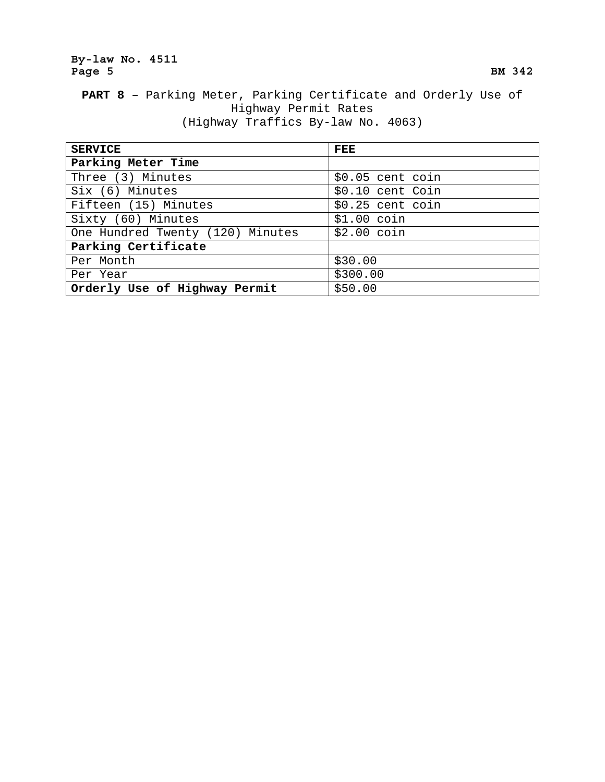## **By-law No. 4511**  Page 5 BM 342

## **PART 8** – Parking Meter, Parking Certificate and Orderly Use of Highway Permit Rates (Highway Traffics By-law No. 4063)

| <b>SERVICE</b>                   | FEE               |
|----------------------------------|-------------------|
| Parking Meter Time               |                   |
| Three (3) Minutes                | $$0.05$ cent coin |
| Six (6) Minutes                  | \$0.10 cent Coin  |
| Fifteen (15) Minutes             | $$0.25$ cent coin |
| Sixty (60) Minutes               | $$1.00$ coin      |
| One Hundred Twenty (120) Minutes | $$2.00$ coin      |
| Parking Certificate              |                   |
| Per Month                        | \$30.00           |
| Per Year                         | \$300.00          |
| Orderly Use of Highway Permit    | \$50.00           |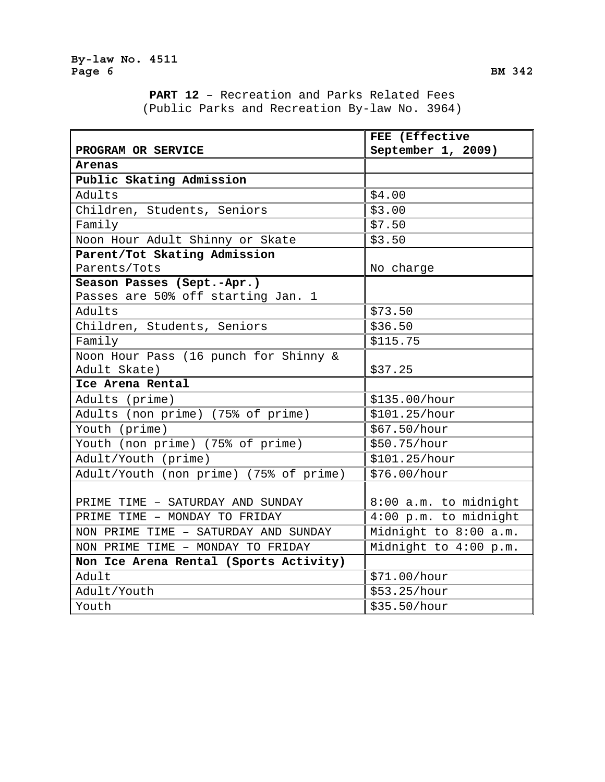**PART 12** – Recreation and Parks Related Fees (Public Parks and Recreation By-law No. 3964)

|                                        | FEE (Effective        |
|----------------------------------------|-----------------------|
| PROGRAM OR SERVICE                     | September 1, 2009)    |
| Arenas                                 |                       |
| Public Skating Admission               |                       |
| Adults                                 | \$4.00                |
| Children, Students, Seniors            | \$3.00                |
| Family                                 | \$7.50                |
| Noon Hour Adult Shinny or Skate        | \$3.50                |
| Parent/Tot Skating Admission           |                       |
| Parents/Tots                           | No charge             |
| Season Passes (Sept.-Apr.)             |                       |
| Passes are 50% off starting Jan. 1     |                       |
| Adults                                 | \$73.50               |
| Children, Students, Seniors            | \$36.50               |
| Family                                 | \$115.75              |
| Noon Hour Pass (16 punch for Shinny &  |                       |
| Adult Skate)                           | \$37.25               |
| Ice Arena Rental                       |                       |
| Adults (prime)                         | \$135.00/hour         |
| Adults (non prime) (75% of prime)      | \$101.25/hour         |
| Youth (prime)                          | \$67.50/hour          |
| Youth (non prime) (75% of prime)       | \$50.75/hour          |
| Adult/Youth (prime)                    | \$101.25/hour         |
| Adult/Youth (non prime) (75% of prime) | \$76.00/hour          |
|                                        |                       |
| PRIME TIME - SATURDAY AND SUNDAY       | 8:00 a.m. to midnight |
| PRIME TIME - MONDAY TO FRIDAY          | 4:00 p.m. to midnight |
| NON PRIME TIME - SATURDAY AND SUNDAY   | Midnight to 8:00 a.m. |
| NON PRIME TIME - MONDAY TO FRIDAY      | Midnight to 4:00 p.m. |
| Non Ice Arena Rental (Sports Activity) |                       |
| Adult                                  | \$71.00/hour          |
| Adult/Youth                            | \$53.25/hour          |
| Youth                                  | \$35.50/hour          |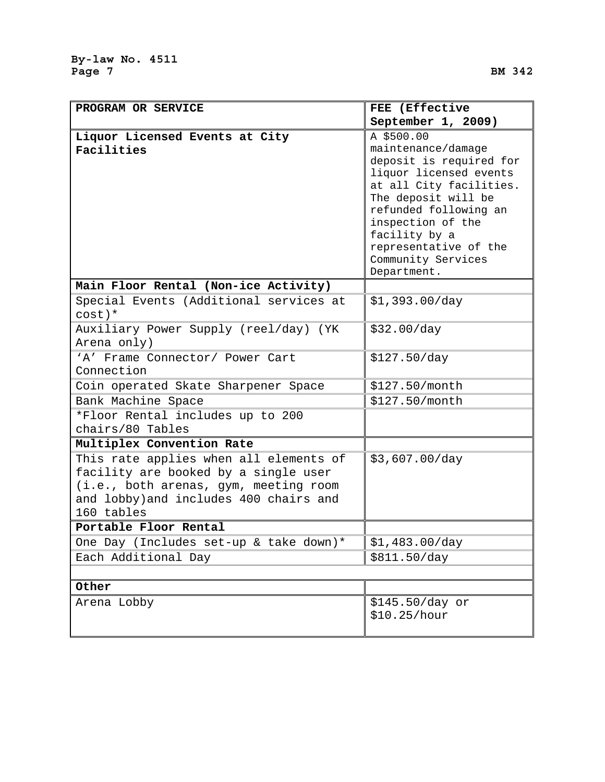| PROGRAM OR SERVICE                                  | FEE (Effective                               |
|-----------------------------------------------------|----------------------------------------------|
|                                                     | September 1, 2009)                           |
| Liquor Licensed Events at City<br>Facilities        | A \$500.00<br>maintenance/damage             |
|                                                     | deposit is required for                      |
|                                                     | liquor licensed events                       |
|                                                     | at all City facilities.                      |
|                                                     | The deposit will be<br>refunded following an |
|                                                     | inspection of the                            |
|                                                     | facility by a                                |
|                                                     | representative of the                        |
|                                                     | Community Services                           |
|                                                     | Department.                                  |
| Main Floor Rental (Non-ice Activity)                |                                              |
| Special Events (Additional services at<br>$cost$ )* | \$1,393.00/day                               |
| Auxiliary Power Supply (reel/day) (YK               | \$32.00/day                                  |
| Arena only)                                         |                                              |
| 'A' Frame Connector/ Power Cart                     | \$127.50/day                                 |
| Connection                                          |                                              |
| Coin operated Skate Sharpener Space                 | \$127.50/month                               |
| Bank Machine Space                                  | \$127.50/month                               |
| *Floor Rental includes up to 200                    |                                              |
| chairs/80 Tables                                    |                                              |
| Multiplex Convention Rate                           |                                              |
| This rate applies when all elements of              | \$3,607.00/day                               |
| facility are booked by a single user                |                                              |
| (i.e., both arenas, gym, meeting room               |                                              |
| and lobby) and includes 400 chairs and              |                                              |
| 160 tables                                          |                                              |
| Portable Floor Rental                               |                                              |
| One Day (Includes set-up & take down)*              | \$1,483.00/day                               |
| Each Additional Day                                 | \$811.50/day                                 |
|                                                     |                                              |
| Other                                               |                                              |
| Arena Lobby                                         | \$145.50/day or                              |
|                                                     | \$10.25/hour                                 |
|                                                     |                                              |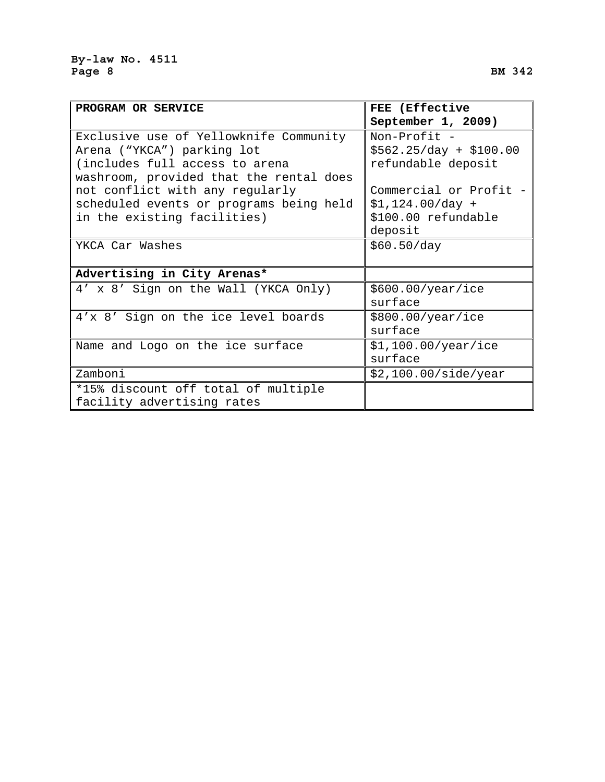| <b>PROGRAM OR SERVICE</b>               | FEE (Effective          |
|-----------------------------------------|-------------------------|
|                                         | September 1, 2009)      |
| Exclusive use of Yellowknife Community  | Non-Profit -            |
| Arena ("YKCA") parking lot              | $$562.25/day + $100.00$ |
| (includes full access to arena          | refundable deposit      |
| washroom, provided that the rental does |                         |
| not conflict with any regularly         | Commercial or Profit    |
| scheduled events or programs being held | $$1,124.00/day +$       |
| in the existing facilities)             | \$100.00 refundable     |
|                                         | deposit                 |
| YKCA Car Washes                         | \$60.50/day             |
|                                         |                         |
| Advertising in City Arenas*             |                         |
| 4' x 8' Sign on the Wall (YKCA Only)    | \$600.00/year/ice       |
|                                         | surface                 |
| 4'x 8' Sign on the ice level boards     | \$800.00/year/ice       |
|                                         | surface                 |
| Name and Logo on the ice surface        | \$1,100.00/year/ice     |
|                                         | surface                 |

| Name and Logo on the ice surface    | $\frac{151}{100.00}{\text{year/ice}}$ |
|-------------------------------------|---------------------------------------|
|                                     | surface                               |
| Zamboni                             | $ \$2,100.00/side/year$               |
| *15% discount off total of multiple |                                       |
| facility advertising rates          |                                       |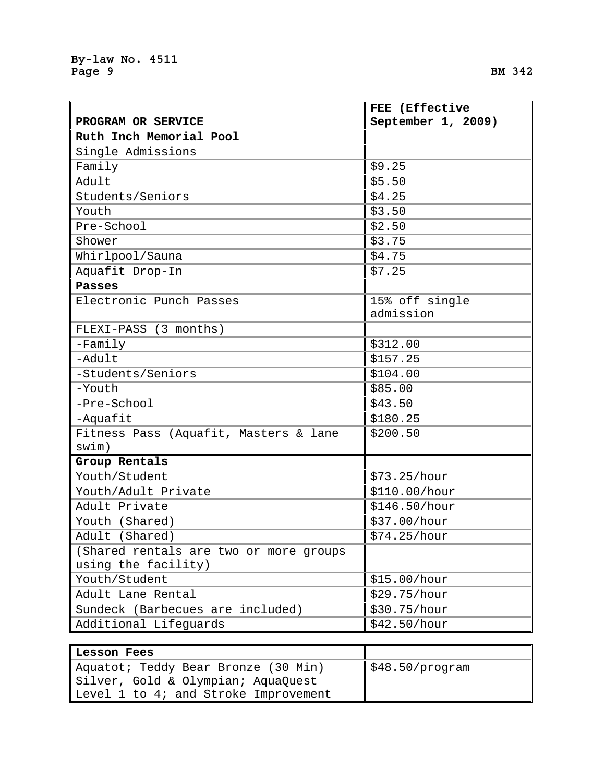r

|                                        | FEE (Effective     |
|----------------------------------------|--------------------|
| PROGRAM OR SERVICE                     | September 1, 2009) |
| Ruth Inch Memorial Pool                |                    |
| Single Admissions                      |                    |
| Family                                 | \$9.25             |
| Adult                                  | \$5.50             |
| Students/Seniors                       | \$4.25             |
| Youth                                  | \$3.50             |
| Pre-School                             | \$2.50             |
| Shower                                 | \$3.75             |
| Whirlpool/Sauna                        | \$4.75             |
| Aquafit Drop-In                        | \$7.25             |
| <b>Passes</b>                          |                    |
| Electronic Punch Passes                | 15% off single     |
|                                        | admission          |
| FLEXI-PASS (3 months)                  |                    |
| $-Family$                              | \$312.00           |
| -Adult                                 | \$157.25           |
| -Students/Seniors                      | \$104.00           |
| -Youth                                 | \$85.00            |
| -Pre-School                            | \$43.50            |
| -Aquafit                               | \$180.25           |
| Fitness Pass (Aquafit, Masters & lane  | \$200.50           |
| swim)                                  |                    |
| Group Rentals                          |                    |
| Youth/Student                          | \$73.25/hour       |
| Youth/Adult Private                    | \$110.00/hour      |
| Adult Private                          | \$146.50/hour      |
| Youth (Shared)                         | \$37.00/hour       |
| Adult (Shared)                         | \$74.25/hour       |
| (Shared rentals are two or more groups |                    |
| using the facility)                    |                    |
| Youth/Student                          | \$15.00/hour       |
| Adult Lane Rental                      | \$29.75/hour       |
| Sundeck (Barbecues are included)       | \$30.75/hour       |
| Additional Lifeguards                  | \$42.50/hour       |

| <b>Lesson Fees</b>                   |                                  |
|--------------------------------------|----------------------------------|
| Aquatot; Teddy Bear Bronze (30 Min)  | $\frac{1548.50}{\text{program}}$ |
| Silver, Gold & Olympian; AquaQuest   |                                  |
| Level 1 to 4; and Stroke Improvement |                                  |

۳.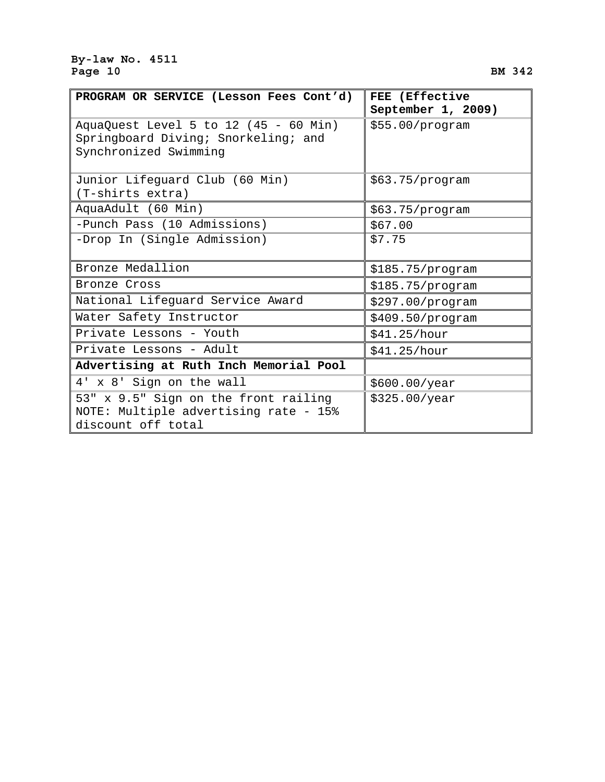### **By-law No. 4511**  Page 10 BM 342

| PROGRAM OR SERVICE (Lesson Fees Cont'd)                                                               | FEE (Effective                        |
|-------------------------------------------------------------------------------------------------------|---------------------------------------|
| AquaQuest Level 5 to 12 (45 - 60 Min)<br>Springboard Diving; Snorkeling; and<br>Synchronized Swimming | September 1, 2009)<br>\$55.00/program |
| Junior Lifeguard Club (60 Min)<br>(T-shirts extra)                                                    | \$63.75/program                       |
| AquaAdult (60 Min)                                                                                    | \$63.75/program                       |
| -Punch Pass (10 Admissions)                                                                           | \$67.00                               |
| -Drop In (Single Admission)                                                                           | \$7.75                                |
| Bronze Medallion                                                                                      | \$185.75/program                      |
| Bronze Cross                                                                                          | \$185.75/program                      |
| National Lifeguard Service Award                                                                      | \$297.00/program                      |
| Water Safety Instructor                                                                               | \$409.50/program                      |
| Private Lessons - Youth                                                                               | \$41.25/hour                          |
| Private Lessons - Adult                                                                               | \$41.25/hour                          |
| Advertising at Ruth Inch Memorial Pool                                                                |                                       |
| 4' x 8' Sign on the wall                                                                              | \$600.00/year                         |
| 53" x 9.5" Sign on the front railing<br>NOTE: Multiple advertising rate - 15%<br>discount off total   | \$325.00/year                         |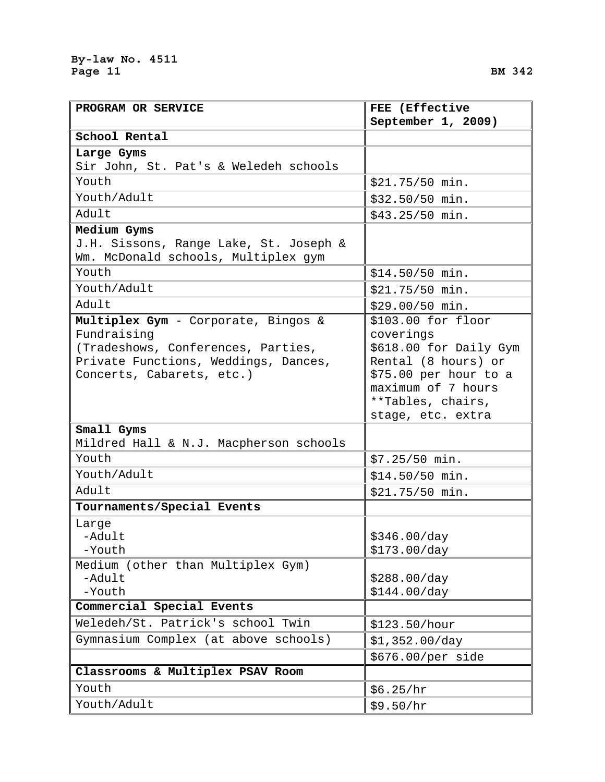**School Rental**

**PROGRAM OR SERVICE** 

|      | FEE (Effective     |  |  |
|------|--------------------|--|--|
|      | September 1, 2009) |  |  |
|      |                    |  |  |
|      |                    |  |  |
| ools |                    |  |  |
|      | \$21.75/50 min.    |  |  |

| Large Gyms                                           |                        |
|------------------------------------------------------|------------------------|
| Sir John, St. Pat's & Weledeh schools                |                        |
| Youth                                                | \$21.75/50 min.        |
| Youth/Adult                                          | \$32.50/50 min.        |
| Adult                                                | \$43.25/50 min.        |
| Medium Gyms                                          |                        |
| J.H. Sissons, Range Lake, St. Joseph &               |                        |
| Wm. McDonald schools, Multiplex gym                  |                        |
| Youth                                                | \$14.50/50 min.        |
| Youth/Adult                                          | \$21.75/50 min.        |
| Adult                                                | \$29.00/50 min.        |
| Multiplex Gym - Corporate, Bingos &                  | \$103.00 for floor     |
| Fundraising                                          | coverings              |
| (Tradeshows, Conferences, Parties,                   | \$618.00 for Daily Gym |
| Private Functions, Weddings, Dances,                 | Rental (8 hours) or    |
| Concerts, Cabarets, etc.)                            | \$75.00 per hour to a  |
|                                                      | maximum of 7 hours     |
|                                                      | **Tables, chairs,      |
|                                                      | stage, etc. extra      |
| Small Gyms<br>Mildred Hall & N.J. Macpherson schools |                        |
| Youth                                                | $$7.25/50$ min.        |
| Youth/Adult                                          |                        |
|                                                      | \$14.50/50 min.        |
| Adult                                                | \$21.75/50 min.        |
| Tournaments/Special Events                           |                        |
| Large                                                |                        |
| -Adult<br>-Youth                                     | \$346.00/day           |
| Medium (other than Multiplex Gym)                    | \$173.00/day           |
| -Adult                                               | \$288.00/day           |
| -Youth                                               | \$144.00/day           |
| Commercial Special Events                            |                        |
| Weledeh/St. Patrick's school Twin                    | \$123.50/hour          |
| Gymnasium Complex (at above schools)                 | \$1,352.00/day         |
|                                                      | \$676.00/per side      |
| Classrooms & Multiplex PSAV Room                     |                        |
| Youth                                                | \$6.25/hr              |
| Youth/Adult                                          | \$9.50/hr              |
|                                                      |                        |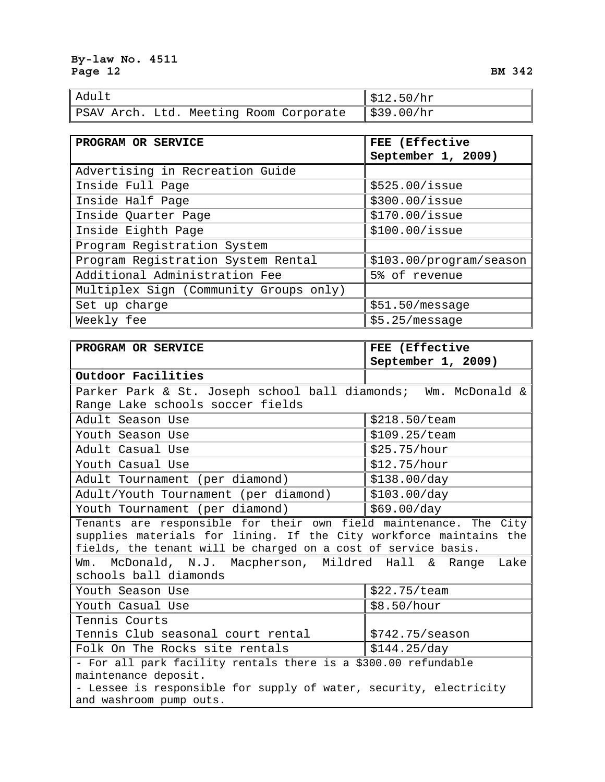| Adult |  |  | $\frac{1}{2}$ \$12.50/hr |                                                      |  |
|-------|--|--|--------------------------|------------------------------------------------------|--|
|       |  |  |                          | PSAV Arch. Ltd. Meeting Room Corporate    \$39.00/hr |  |

| PROGRAM OR SERVICE                     | FEE (Effective          |
|----------------------------------------|-------------------------|
|                                        | September 1, 2009)      |
| Advertising in Recreation Guide        |                         |
| Inside Full Page                       | \$525.00/issue          |
| Inside Half Page                       | \$300.00/issue          |
| Inside Quarter Page                    | $$170.00/$ issue        |
| Inside Eighth Page                     | $$100.00/$ issue        |
| Program Registration System            |                         |
| Program Registration System Rental     | \$103.00/program/season |
| Additional Administration Fee          | 5% of revenue           |
| Multiplex Sign (Community Groups only) |                         |
| Set up charge                          | \$51.50/message         |
| Weekly fee                             | $$5.25/mes$ sage        |

| PROGRAM OR SERVICE                                                 | FEE (Effective          |  |  |
|--------------------------------------------------------------------|-------------------------|--|--|
|                                                                    | September 1, 2009)      |  |  |
| Outdoor Facilities                                                 |                         |  |  |
| Parker Park & St. Joseph school ball diamonds; Wm. McDonald &      |                         |  |  |
| Range Lake schools soccer fields                                   |                         |  |  |
| Adult Season Use                                                   | \$218.50/team           |  |  |
| Youth Season Use                                                   | \$109.25/team           |  |  |
| Adult Casual Use                                                   | \$25.75/hour            |  |  |
| Youth Casual Use                                                   | \$12.75/hour            |  |  |
| Adult Tournament (per diamond)                                     | \$138.00/day            |  |  |
| Adult/Youth Tournament (per diamond)                               | \$103.00/day            |  |  |
| Youth Tournament (per diamond)                                     | \$69.00/day             |  |  |
| Tenants are responsible for their own field maintenance. The City  |                         |  |  |
| supplies materials for lining. If the City workforce maintains the |                         |  |  |
| fields, the tenant will be charged on a cost of service basis.     |                         |  |  |
| Wm. McDonald, N.J. Macpherson, Mildred Hall & Range Lake           |                         |  |  |
| schools ball diamonds                                              |                         |  |  |
| Youth Season Use                                                   | \$22.75/team            |  |  |
| Youth Casual Use                                                   | \$8.50/hour             |  |  |
| Tennis Courts                                                      |                         |  |  |
| Tennis Club seasonal court rental                                  | $$742.75/\text{season}$ |  |  |
| Folk On The Rocks site rentals                                     | \$144.25/day            |  |  |
| - For all park facility rentals there is a \$300.00 refundable     |                         |  |  |
| maintenance deposit.                                               |                         |  |  |
| - Lessee is responsible for supply of water, security, electricity |                         |  |  |
| and washroom pump outs.                                            |                         |  |  |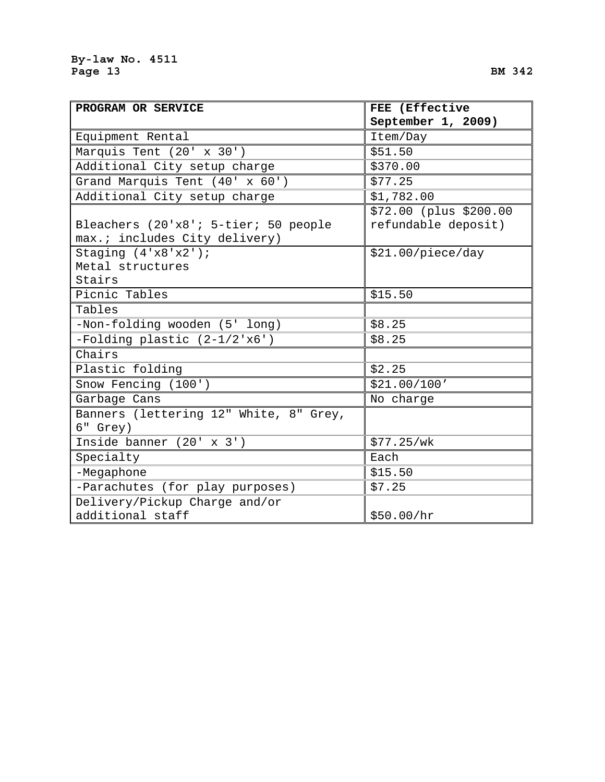| PROGRAM OR SERVICE                                                    | FEE (Effective                                |
|-----------------------------------------------------------------------|-----------------------------------------------|
|                                                                       | September 1, 2009)                            |
| Equipment Rental                                                      | Item/Day                                      |
| Marquis Tent (20' x 30')                                              | \$51.50                                       |
| Additional City setup charge                                          | \$370.00                                      |
| Grand Marquis Tent (40' x 60')                                        | \$77.25                                       |
| Additional City setup charge                                          | \$1,782.00                                    |
| Bleachers (20'x8'; 5-tier; 50 people<br>max.; includes City delivery) | \$72.00 (plus \$200.00<br>refundable deposit) |
| Staging $(4'x8'x2')$ ;<br>Metal structures<br>Stairs                  | \$21.00/piece/day                             |
| Picnic Tables                                                         | \$15.50                                       |
| Tables                                                                |                                               |
| -Non-folding wooden (5' long)                                         | \$8.25                                        |
| -Folding plastic (2-1/2'x6')                                          | \$8.25                                        |
| Chairs                                                                |                                               |
| Plastic folding                                                       | \$2.25                                        |
| Snow Fencing (100')                                                   | \$21.00/100'                                  |
| Garbage Cans                                                          | No charge                                     |
| Banners (lettering 12" White, 8" Grey,<br>6" Grey)                    |                                               |
| Inside banner (20' x 3')                                              | \$77.25/wk                                    |
| Specialty                                                             | Each                                          |
| -Megaphone                                                            | \$15.50                                       |
| -Parachutes (for play purposes)                                       | \$7.25                                        |
| Delivery/Pickup Charge and/or                                         |                                               |
| additional staff                                                      | \$50.00/hr                                    |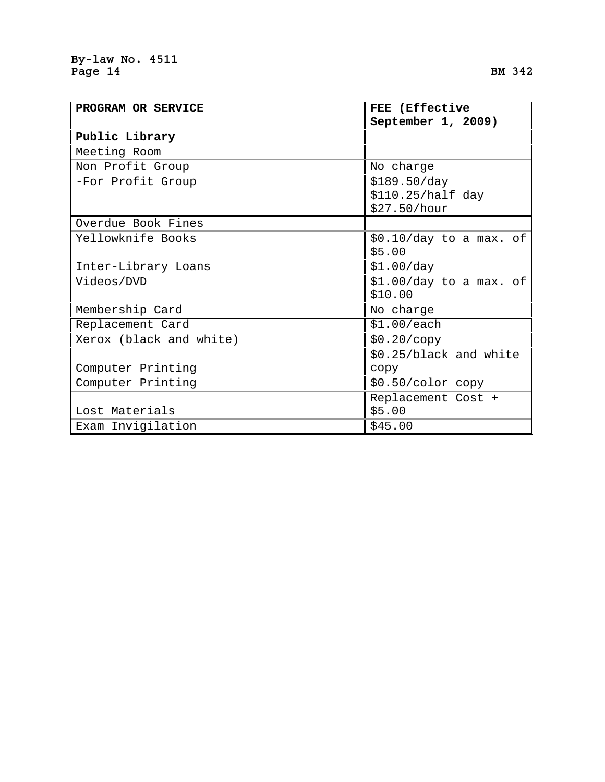| PROGRAM OR SERVICE      | FEE (EIIECLIVE                                    |  |  |
|-------------------------|---------------------------------------------------|--|--|
|                         | September 1, 2009)                                |  |  |
| Public Library          |                                                   |  |  |
| Meeting Room            |                                                   |  |  |
| Non Profit Group        | No charge                                         |  |  |
| -For Profit Group       | \$189.50/day<br>\$110.25/half day<br>\$27.50/hour |  |  |
| Overdue Book Fines      |                                                   |  |  |
| Yellowknife Books       | $$0.10/day$ to a max. of<br>\$5.00                |  |  |
| Inter-Library Loans     | \$1.00/day                                        |  |  |
| Videos/DVD              | $$1.00/day$ to a max. of<br>\$10.00               |  |  |
| Membership Card         | No charge                                         |  |  |
| Replacement Card        | \$1.00/each                                       |  |  |
| Xerox (black and white) | \$0.20/copy                                       |  |  |
| Computer Printing       | \$0.25/black and white<br>сору                    |  |  |
| Computer Printing       | \$0.50/color copy                                 |  |  |
| Lost Materials          | Replacement Cost +<br>\$5.00                      |  |  |
| Exam Invigilation       | \$45.00                                           |  |  |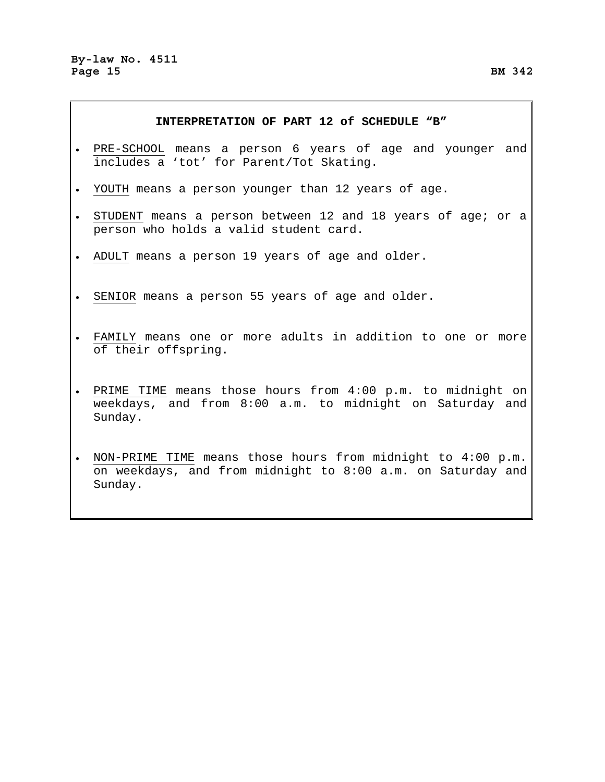### **INTERPRETATION OF PART 12 of SCHEDULE "B"**

- PRE-SCHOOL means a person 6 years of age and younger and includes a 'tot' for Parent/Tot Skating.
- YOUTH means a person younger than 12 years of age.
- STUDENT means a person between 12 and 18 years of age; or a person who holds a valid student card.
- ADULT means a person 19 years of age and older.
- SENIOR means a person 55 years of age and older.
- FAMILY means one or more adults in addition to one or more of their offspring.
- PRIME TIME means those hours from 4:00 p.m. to midnight on weekdays, and from 8:00 a.m. to midnight on Saturday and Sunday.
- NON-PRIME TIME means those hours from midnight to 4:00 p.m. on weekdays, and from midnight to 8:00 a.m. on Saturday and Sunday.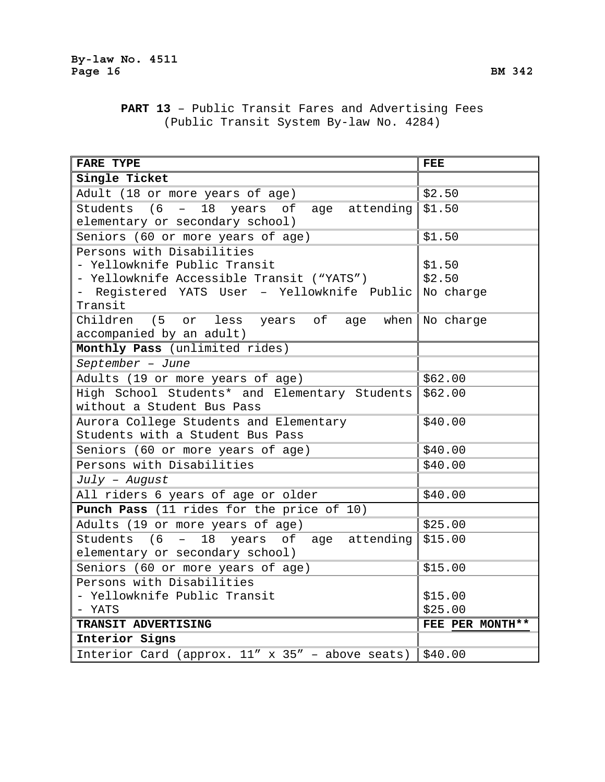**By-law No. 4511**  Page 16 BM 342

## **PART 13** – Public Transit Fares and Advertising Fees (Public Transit System By-law No. 4284)

| <b>FARE TYPE</b>                                                  | <b>FEE</b>      |
|-------------------------------------------------------------------|-----------------|
| Single Ticket                                                     |                 |
| Adult (18 or more years of age)                                   | \$2.50          |
| Students (6<br>$-18$<br>years of age attending                    | \$1.50          |
| elementary or secondary school)                                   |                 |
| Seniors (60 or more years of age)                                 | \$1.50          |
| Persons with Disabilities                                         |                 |
| - Yellowknife Public Transit                                      | \$1.50          |
| - Yellowknife Accessible Transit ("YATS")                         | \$2.50          |
| - Registered YATS User - Yellowknife Public No charge             |                 |
| Transit                                                           |                 |
| Children (5 or<br>less<br>years of age                            | when No charge  |
| accompanied by an adult)                                          |                 |
| Monthly Pass (unlimited rides)                                    |                 |
| September - June                                                  |                 |
| Adults (19 or more years of age)                                  | \$62.00         |
| High School Students* and Elementary Students                     | \$62.00         |
| without a Student Bus Pass                                        |                 |
| Aurora College Students and Elementary                            | \$40.00         |
| Students with a Student Bus Pass                                  |                 |
| Seniors (60 or more years of age)                                 | \$40.00         |
| Persons with Disabilities                                         | \$40.00         |
| $July - August$                                                   |                 |
| All riders 6 years of age or older                                | \$40.00         |
| Punch Pass (11 rides for the price of 10)                         |                 |
| Adults (19 or more years of age)                                  | \$25.00         |
| Students (6 -<br>18<br>years of age attending                     | \$15.00         |
| elementary or secondary school)                                   |                 |
| Seniors (60 or more years of age)                                 | \$15.00         |
| Persons with Disabilities                                         |                 |
| - Yellowknife Public Transit                                      | \$15.00         |
| - YATS                                                            | \$25.00         |
| TRANSIT ADVERTISING                                               | FEE PER MONTH** |
| Interior Signs                                                    |                 |
| Interior Card (approx. 11" x 35" - above seats) $\frac{100}{100}$ |                 |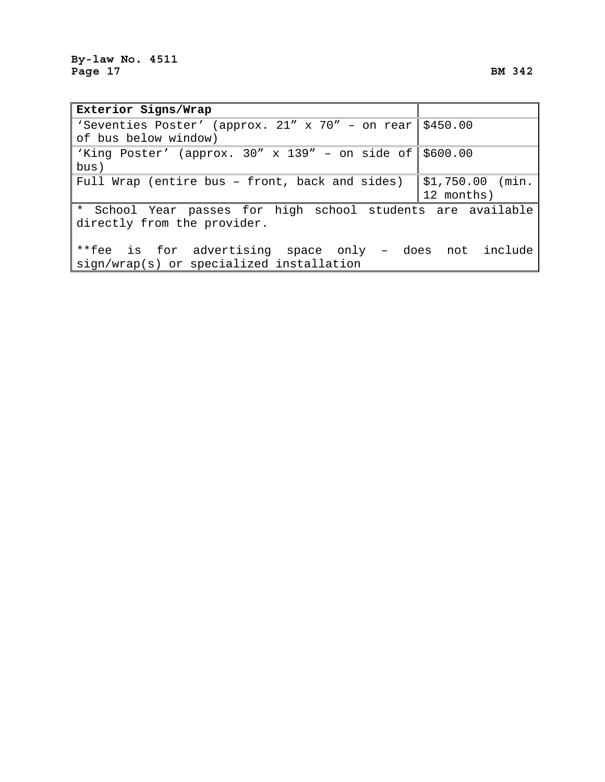| Exterior Signs/Wrap                                              |                   |
|------------------------------------------------------------------|-------------------|
| 'Seventies Poster' (approx. 21" x 70" - on rear \$450.00         |                   |
| of bus below window)                                             |                   |
| 'King Poster' (approx. $30'' \times 139'' -$ on side of \$600.00 |                   |
| bus)                                                             |                   |
| Full Wrap (entire bus - front, back and sides)                   | $$1,750.00$ (min. |
|                                                                  | 12 months)        |
| * School Year passes for high school students are available      |                   |
| directly from the provider.                                      |                   |
|                                                                  |                   |
| **fee is for advertising space only - does not include           |                   |
| sign/wrap(s) or specialized installation                         |                   |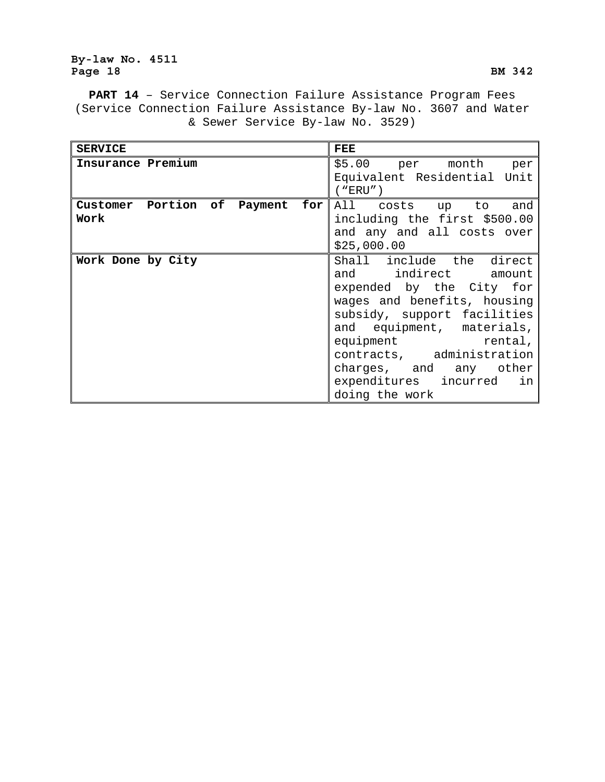## **By-law No. 4511**  Page 18 BM 342

**PART 14** – Service Connection Failure Assistance Program Fees (Service Connection Failure Assistance By-law No. 3607 and Water & Sewer Service By-law No. 3529)

| <b>SERVICE</b>                          | <b>FEE</b>                                                                                                                                                                                                                                                                                          |
|-----------------------------------------|-----------------------------------------------------------------------------------------------------------------------------------------------------------------------------------------------------------------------------------------------------------------------------------------------------|
| Insurance Premium                       | \$5.00 per month per<br>Equivalent Residential Unit<br>( "ERU" )                                                                                                                                                                                                                                    |
| Customer Portion of Payment for<br>Work | All costs up to and<br>including the first \$500.00<br>and any and all costs over<br>\$25,000.00                                                                                                                                                                                                    |
| Work Done by City                       | Shall include the direct<br>and indirect amount<br>expended by the City for<br>wages and benefits, housing<br>subsidy, support facilities<br>and equipment, materials,<br>equipment rental,<br>contracts, administration<br>charges, and any other<br>expenditures incurred<br>in<br>doing the work |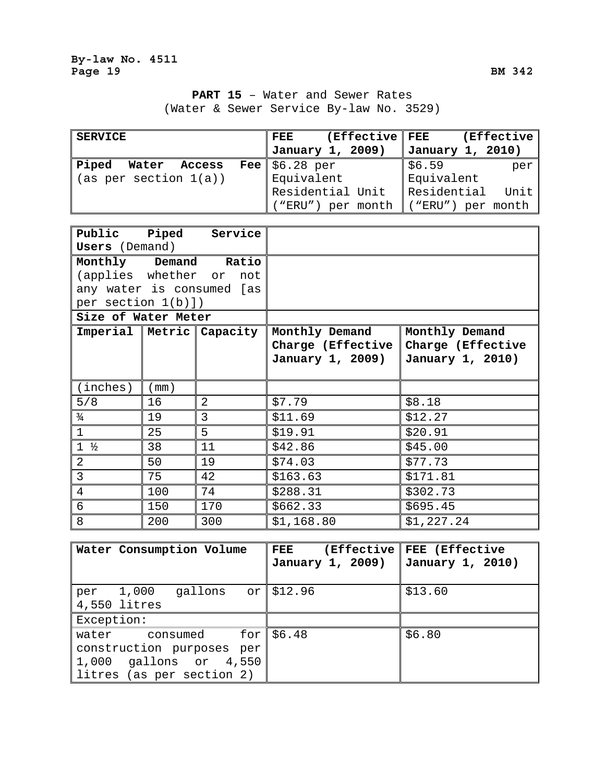# **PART 15** – Water and Sewer Rates (Water & Sewer Service By-law No. 3529)

| <b>SERVICE</b>        | (Effective   FEE<br>FEE | (Effective)                     |
|-----------------------|-------------------------|---------------------------------|
|                       | January 1, 2009)        | January 1, 2010)                |
| Piped<br>Water Access | Fee $$6.28\text{ per}$  | \$6.59<br>per                   |
| (as per section 1(a)) | Equivalent              | Equivalent                      |
|                       | Residential Unit        | Residential Unit                |
|                       | ("ERU") per month       | $\mid$ ("ERU") per month $\mid$ |

| <b>Users</b> (Demand) |      | Public Piped Service         |                                                         |                                                         |
|-----------------------|------|------------------------------|---------------------------------------------------------|---------------------------------------------------------|
|                       |      | Monthly Demand Ratio         |                                                         |                                                         |
|                       |      | (applies whether or not      |                                                         |                                                         |
|                       |      | any water is consumed [as    |                                                         |                                                         |
| per section $1(b)$ ]) |      |                              |                                                         |                                                         |
| Size of Water Meter   |      |                              |                                                         |                                                         |
|                       |      | Imperial   Metric   Capacity | Monthly Demand<br>Charge (Effective<br>January 1, 2009) | Monthly Demand<br>Charge (Effective<br>January 1, 2010) |
| (inches)              | (mm) |                              |                                                         |                                                         |
| 5/8                   | 16   | $\overline{2}$               | \$7.79                                                  | \$8.18                                                  |
| $\frac{3}{4}$         | 19   | 3                            | \$11.69                                                 | \$12.27                                                 |
| $\mathbf{1}$          | 25   | 5                            | \$19.91                                                 | \$20.91                                                 |
| $1 \frac{1}{2}$       | 38   | 11                           | \$42.86                                                 | \$45.00                                                 |
| 2                     | 50   | 19                           | \$74.03                                                 | \$77.73                                                 |
| $\overline{3}$        | 75   | 42                           | \$163.63                                                | \$171.81                                                |
| $\overline{4}$        | 100  | 74                           | \$288.31                                                | \$302.73                                                |
| $6\phantom{.}6$       | 150  | 170                          | \$662.33                                                | \$695.45                                                |
| 8                     | 200  | 300                          | \$1,168.80                                              | \$1,227.24                                              |

| <b>Water Consumption Volume</b>      | (Effective)<br>FEE | FEE (Effective   |
|--------------------------------------|--------------------|------------------|
|                                      | January 1, 2009)   | January 1, 2010) |
|                                      |                    |                  |
| gallons $or$ \$12.96<br>1,000<br>per |                    | \$13.60          |
| 4,550 litres                         |                    |                  |
| Exception:                           |                    |                  |
| consumed<br>water                    | for $$6.48$        | \$6.80           |
| construction purposes<br>per         |                    |                  |
| 1,000 gallons or 4,550               |                    |                  |
| litres (as per section 2)            |                    |                  |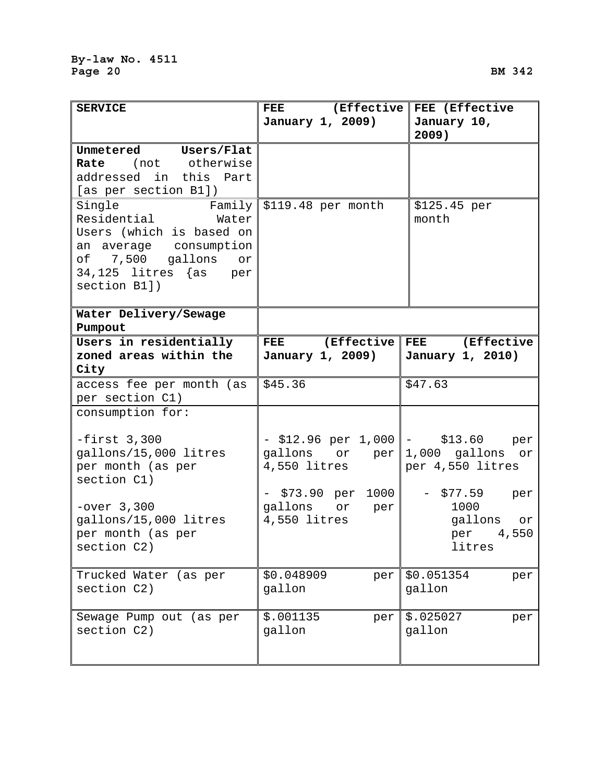| <b>SERVICE</b>                 | FEE (Effective                        | FEE (Effective                       |
|--------------------------------|---------------------------------------|--------------------------------------|
|                                | January 1, 2009)                      | January 10,<br>2009)                 |
| Unmetered Users/Flat           |                                       |                                      |
| Rate (not otherwise            |                                       |                                      |
| addressed in this Part         |                                       |                                      |
| [as per section B1])           |                                       |                                      |
| Single<br>Residential<br>Water | Family $\frac{10}{2119.48}$ per month | \$125.45 per<br>month                |
| Users (which is based on       |                                       |                                      |
| an average consumption         |                                       |                                      |
| of 7,500 gallons or            |                                       |                                      |
| $34,125$ litres $\{as\$ per    |                                       |                                      |
| section B1])                   |                                       |                                      |
|                                |                                       |                                      |
| Water Delivery/Sewage          |                                       |                                      |
| Pumpout                        |                                       |                                      |
| Users in residentially         | (Effective<br><b>FEE</b>              | (Effective<br>FEE                    |
| zoned areas within the         | January 1, 2009)                      | January 1, 2010)                     |
| City                           |                                       |                                      |
| access fee per month (as       | \$45.36                               | \$47.63                              |
| per section C1)                |                                       |                                      |
| consumption for:               |                                       |                                      |
| $-first$ 3,300                 |                                       | $-$ \$12.96 per 1,000  - \$13.60 per |
| gallons/15,000 litres          | gallons or per                        | 1,000 gallons or                     |
| per month (as per              | 4,550 litres                          | per 4,550 litres                     |
| section C1)                    | $-$ \$73.90 per 1000                  | $-$ \$77.59                          |
| $-over 3,300$                  | gallons or per                        | per<br>1000                          |
| gallons/15,000 litres          | 4,550 litres                          | gallons or                           |
| per month (as per              |                                       | per 4,550                            |
| section C2)                    |                                       | litres                               |
|                                |                                       |                                      |
| Trucked Water (as per          | \$0.048909<br>per                     | \$0.051354<br>per                    |
| section C2)                    | gallon                                | gallon                               |
|                                |                                       |                                      |
| Sewage Pump out (as per        | \$.001135<br>per                      | \$.025027<br>per                     |
| section C2)                    | gallon                                | gallon                               |
|                                |                                       |                                      |
|                                |                                       |                                      |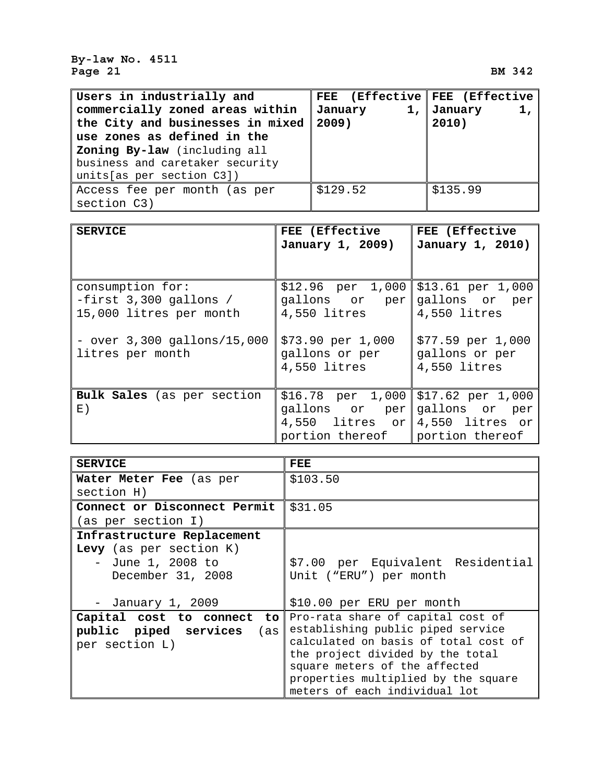**By-law No. 4511**  Page 21 BM 342

| Users in industrially and        | FEE (Effective   FEE (Effective |                  |
|----------------------------------|---------------------------------|------------------|
| commercially zoned areas within  | January                         | 1, January<br>1, |
| the City and businesses in mixed | 2009)                           | 2010)            |
| use zones as defined in the      |                                 |                  |
| Zoning By-law (including all     |                                 |                  |
| business and caretaker security  |                                 |                  |
| units [as per section C3])       |                                 |                  |
| Access fee per month (as per     | \$129.52                        | \$135.99         |
| section C3)                      |                                 |                  |

| <b>SERVICE</b>                                                          | FEE (Effective<br>January 1, 2009)                                                                               | FEE (Effective<br>January 1, 2010)                     |
|-------------------------------------------------------------------------|------------------------------------------------------------------------------------------------------------------|--------------------------------------------------------|
| consumption for:<br>$-first$ 3,300 gallons /<br>15,000 litres per month | $$12.96$ per 1,000 $$13.61$ per 1,000<br>gallons or per gallons or per<br>4,550 litres                           | 4,550 litres                                           |
| $-$ over $3,300$ gallons/15,000<br>litres per month                     | \$73.90~per~1,000<br>gallons or per<br>4,550 litres                                                              | $$77.59$ per $1,000$<br>gallons or per<br>4,550 litres |
| <b>Bulk Sales</b> (as per section<br>$E$ )                              | $$16.78$ per 1,000 $$17.62$ per 1,000<br>qallons or per<br>4,550 litres or $ 4,550$ litres or<br>portion thereof | gallons or per<br>portion thereof                      |

| <b>SERVICE</b>                                                                  | FEE                                                                                                                                                                                                                                                         |
|---------------------------------------------------------------------------------|-------------------------------------------------------------------------------------------------------------------------------------------------------------------------------------------------------------------------------------------------------------|
| Water Meter Fee (as per                                                         | \$103.50                                                                                                                                                                                                                                                    |
| section H)                                                                      |                                                                                                                                                                                                                                                             |
| Connect or Disconnect Permit                                                    | \$31.05                                                                                                                                                                                                                                                     |
| (as per section I)                                                              |                                                                                                                                                                                                                                                             |
| Infrastructure Replacement                                                      |                                                                                                                                                                                                                                                             |
| Levy (as per section $K$ )<br>- June 1, 2008 to<br>December 31, 2008            | \$7.00 per Equivalent Residential<br>Unit ("ERU") per month                                                                                                                                                                                                 |
| - January 1, 2009                                                               | \$10.00 per ERU per month                                                                                                                                                                                                                                   |
| Capital cost to connect<br>to<br>public piped services<br>(as<br>per section L) | Pro-rata share of capital cost of<br>establishing public piped service<br>calculated on basis of total cost of<br>the project divided by the total<br>square meters of the affected<br>properties multiplied by the square<br>meters of each individual lot |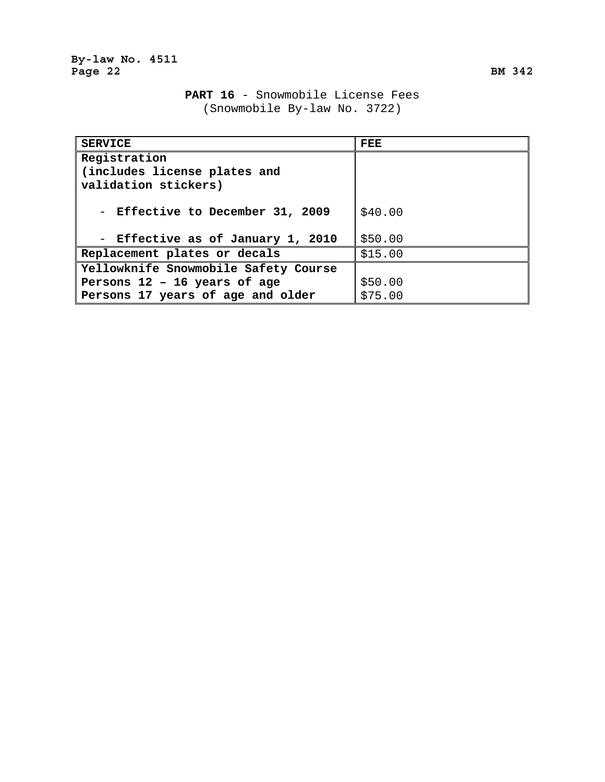# **PART 16** - Snowmobile License Fees (Snowmobile By-law No. 3722)

| <b>SERVICE</b>                                                       | FEE     |
|----------------------------------------------------------------------|---------|
| Registration<br>(includes license plates and<br>validation stickers) |         |
|                                                                      |         |
| - Effective to December 31, 2009                                     | \$40.00 |
| - Effective as of January 1, 2010                                    | \$50.00 |
| Replacement plates or decals                                         | \$15.00 |
| Yellowknife Snowmobile Safety Course                                 |         |
| Persons 12 - 16 years of age                                         | \$50.00 |
| Persons 17 years of age and older                                    | \$75.00 |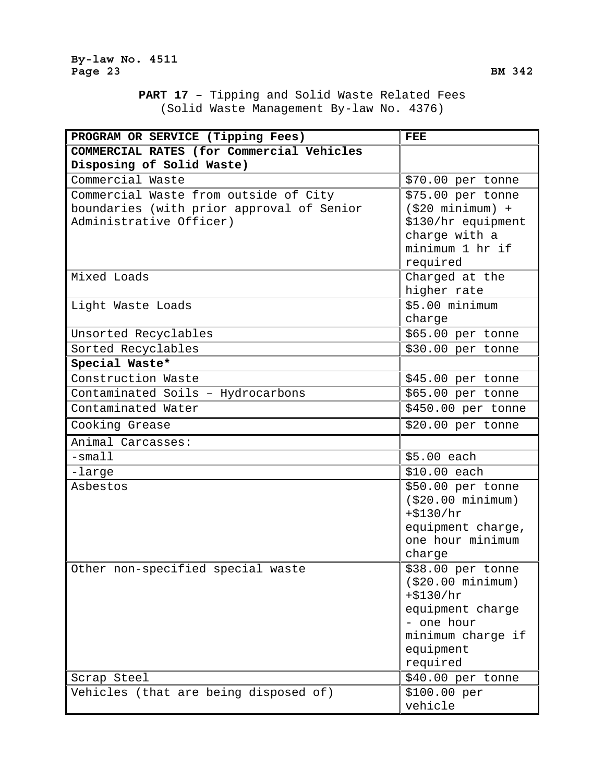**PART 17** – Tipping and Solid Waste Related Fees (Solid Waste Management By-law No. 4376)

| PROGRAM OR SERVICE (Tipping Fees)         | <b>FEE</b>                     |
|-------------------------------------------|--------------------------------|
| COMMERCIAL RATES (for Commercial Vehicles |                                |
| Disposing of Solid Waste)                 |                                |
| Commercial Waste                          | \$70.00 per tonne              |
| Commercial Waste from outside of City     | \$75.00 per tonne              |
| boundaries (with prior approval of Senior | $( $20$ minimum) +             |
| Administrative Officer)                   | \$130/hr equipment             |
|                                           | charge with a                  |
|                                           | minimum 1 hr if                |
|                                           | required                       |
| Mixed Loads                               | Charged at the                 |
|                                           | higher rate                    |
| Light Waste Loads                         | \$5.00 minimum                 |
|                                           | charge                         |
| Unsorted Recyclables                      | \$65.00 per tonne              |
| Sorted Recyclables                        | \$30.00 per tonne              |
| Special Waste*                            |                                |
| Construction Waste                        | \$45.00 per tonne              |
| Contaminated Soils - Hydrocarbons         | \$65.00 per tonne              |
| Contaminated Water                        | \$450.00 per tonne             |
| Cooking Grease                            | \$20.00 per tonne              |
| Animal Carcasses:                         |                                |
| $-s$ mall                                 | \$5.00 each                    |
| -large                                    | \$10.00 each                   |
| Asbestos                                  | \$50.00 per tonne              |
|                                           | ( \$20.00 minimum)             |
|                                           | $+ $130/hr$                    |
|                                           | equipment charge,              |
|                                           | one hour minimum               |
|                                           | charge                         |
| Other non-specified special waste         | \$38.00 per tonne              |
|                                           | ( \$20.00 minimum)             |
|                                           | $+ $130/hr$                    |
|                                           | equipment charge<br>- one hour |
|                                           | minimum charge if              |
|                                           | equipment                      |
|                                           | required                       |
| Scrap Steel                               | \$40.00 per tonne              |
| Vehicles (that are being disposed of)     | \$100.00 per                   |
|                                           | vehicle                        |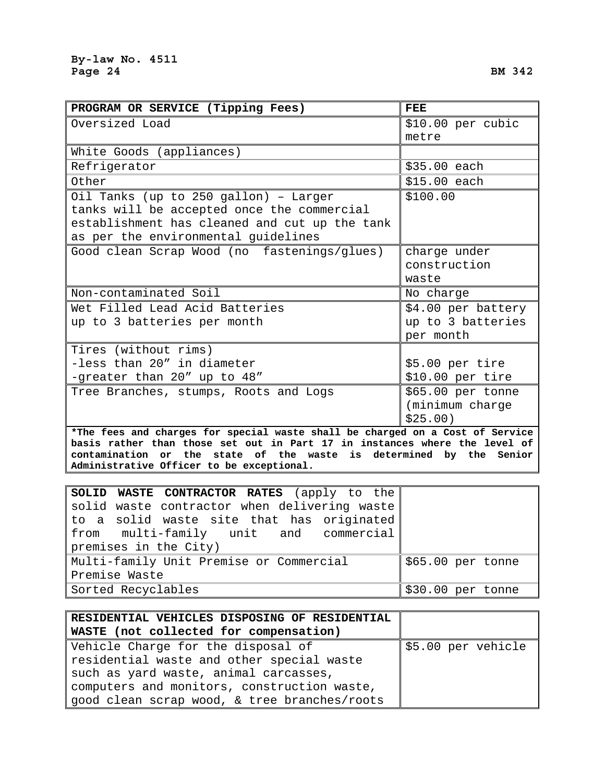| PROGRAM OR SERVICE (Tipping Fees)                                             | <b>FEE</b>         |
|-------------------------------------------------------------------------------|--------------------|
| Oversized Load                                                                | \$10.00 per cubic  |
|                                                                               | metre              |
| White Goods (appliances)                                                      |                    |
| Refrigerator                                                                  | \$35.00 each       |
| Other                                                                         | \$15.00 each       |
| Oil Tanks (up to 250 gallon) - Larger                                         | \$100.00           |
| tanks will be accepted once the commercial                                    |                    |
| establishment has cleaned and cut up the tank                                 |                    |
| as per the environmental guidelines                                           |                    |
| Good clean Scrap Wood (no fastenings/glues)                                   | charge under       |
|                                                                               | construction       |
|                                                                               | waste              |
| Non-contaminated Soil                                                         | No charge          |
| Wet Filled Lead Acid Batteries                                                | \$4.00 per battery |
| up to 3 batteries per month                                                   | up to 3 batteries  |
|                                                                               | per month          |
| Tires (without rims)                                                          |                    |
| -less than 20" in diameter                                                    | \$5.00 per tire    |
| -greater than 20" up to 48"                                                   | \$10.00 per tire   |
| Tree Branches, stumps, Roots and Logs                                         | \$65.00 per tonne  |
|                                                                               | (minimum charge    |
|                                                                               | \$25.00)           |
| *The fees and charges for special waste shall be charged on a Cost of Service |                    |
| basis rather than those set out in Part 17 in instances where the level of    |                    |

**contamination or the state of the waste is determined by the Senior Administrative Officer to be exceptional.** 

| SOLID WASTE CONTRACTOR RATES (apply to the                   |  |  |  |
|--------------------------------------------------------------|--|--|--|
| solid waste contractor when delivering waste                 |  |  |  |
| to a solid waste site that has originated                    |  |  |  |
| from multi-family unit and commercial                        |  |  |  |
| premises in the City)                                        |  |  |  |
| Multi-family Unit Premise or Commercial<br>\$65.00 per tonne |  |  |  |
| Premise Waste                                                |  |  |  |
| Sorted Recyclables<br>\$30.00 per tonne                      |  |  |  |

| RESIDENTIAL VEHICLES DISPOSING OF RESIDENTIAL |                    |
|-----------------------------------------------|--------------------|
| WASTE (not collected for compensation)        |                    |
| Vehicle Charge for the disposal of            | \$5.00 per vehicle |
| residential waste and other special waste     |                    |
| such as yard waste, animal carcasses,         |                    |
| computers and monitors, construction waste,   |                    |
| good clean scrap wood, & tree branches/roots  |                    |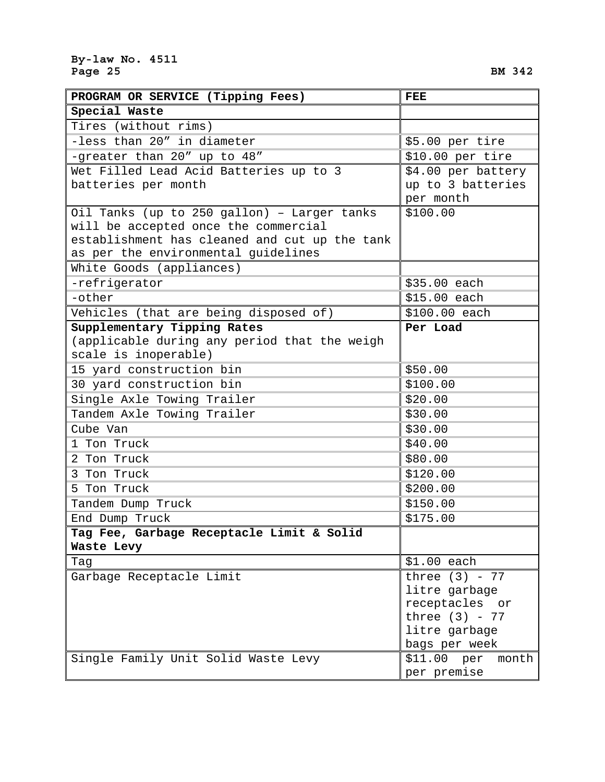| PROGRAM OR SERVICE (Tipping Fees)             | <b>FEE</b>           |
|-----------------------------------------------|----------------------|
| Special Waste                                 |                      |
| Tires (without rims)                          |                      |
| -less than 20" in diameter                    | \$5.00 per tire      |
| -greater than 20" up to 48"                   | \$10.00~per~tire     |
| Wet Filled Lead Acid Batteries up to 3        | \$4.00 per battery   |
| batteries per month                           | up to 3 batteries    |
|                                               | per month            |
| Oil Tanks (up to 250 gallon) - Larger tanks   | \$100.00             |
| will be accepted once the commercial          |                      |
| establishment has cleaned and cut up the tank |                      |
| as per the environmental guidelines           |                      |
| White Goods (appliances)                      |                      |
| -refrigerator                                 | \$35.00 each         |
| -other                                        | \$15.00 each         |
| Vehicles (that are being disposed of)         | \$100.00 each        |
| Supplementary Tipping Rates                   | Per Load             |
| (applicable during any period that the weigh  |                      |
| scale is inoperable)                          |                      |
| 15 yard construction bin                      | \$50.00              |
| 30 yard construction bin                      | \$100.00             |
| Single Axle Towing Trailer                    | \$20.00              |
| Tandem Axle Towing Trailer                    | \$30.00              |
| Cube Van                                      | \$30.00              |
| 1 Ton Truck                                   | \$40.00              |
| 2 Ton Truck                                   | \$80.00              |
| 3 Ton Truck                                   | \$120.00             |
| 5 Ton Truck                                   | \$200.00             |
| Tandem Dump Truck                             | \$150.00             |
| End Dump Truck                                | \$175.00             |
| Tag Fee, Garbage Receptacle Limit & Solid     |                      |
| Waste Levy                                    |                      |
| Tag                                           | $$1.00$ each         |
| Garbage Receptacle Limit                      | three $(3)$ - 77     |
|                                               | litre garbage        |
|                                               | receptacles or       |
|                                               | three $(3)$ - 77     |
|                                               | litre garbage        |
|                                               | bags per week        |
| Single Family Unit Solid Waste Levy           | \$11.00~per<br>month |
|                                               | per premise          |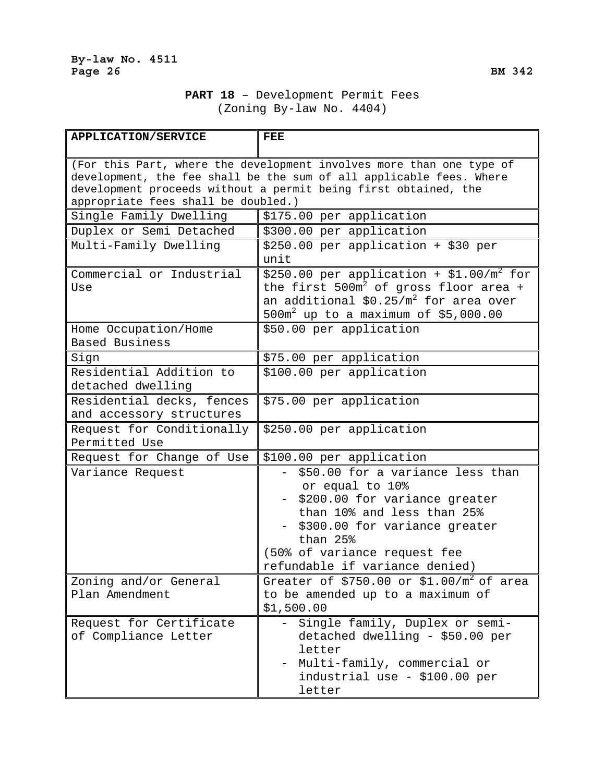# **PART 18** – Development Permit Fees (Zoning By-law No. 4404)

| <b>APPLICATION/SERVICE</b>                                                                                                                                                                                                                            | <b>FEE</b>                                                                                                                                                                                                                        |
|-------------------------------------------------------------------------------------------------------------------------------------------------------------------------------------------------------------------------------------------------------|-----------------------------------------------------------------------------------------------------------------------------------------------------------------------------------------------------------------------------------|
| (For this Part, where the development involves more than one type of<br>development, the fee shall be the sum of all applicable fees. Where<br>development proceeds without a permit being first obtained, the<br>appropriate fees shall be doubled.) |                                                                                                                                                                                                                                   |
| Single Family Dwelling                                                                                                                                                                                                                                | \$175.00 per application                                                                                                                                                                                                          |
| Duplex or Semi Detached                                                                                                                                                                                                                               | \$300.00 per application                                                                                                                                                                                                          |
| Multi-Family Dwelling                                                                                                                                                                                                                                 | \$250.00 per application + \$30 per<br>unit                                                                                                                                                                                       |
| Commercial or Industrial<br>Use                                                                                                                                                                                                                       | \$250.00 per application + \$1.00/ $m^2$ for<br>the first $500m^2$ of gross floor area +<br>an additional $$0.25/m^2$ for area over<br>$500m^2$ up to a maximum of \$5,000.00                                                     |
| Home Occupation/Home<br>Based Business                                                                                                                                                                                                                | \$50.00 per application                                                                                                                                                                                                           |
| Sign                                                                                                                                                                                                                                                  | \$75.00 per application                                                                                                                                                                                                           |
| Residential Addition to<br>detached dwelling                                                                                                                                                                                                          | \$100.00 per application                                                                                                                                                                                                          |
| Residential decks, fences<br>and accessory structures                                                                                                                                                                                                 | \$75.00 per application                                                                                                                                                                                                           |
| Request for Conditionally<br>Permitted Use                                                                                                                                                                                                            | \$250.00 per application                                                                                                                                                                                                          |
| Request for Change of Use                                                                                                                                                                                                                             | \$100.00 per application                                                                                                                                                                                                          |
| Variance Request                                                                                                                                                                                                                                      | \$50.00 for a variance less than<br>or equal to 10%<br>\$200.00 for variance greater<br>than 10% and less than 25%<br>\$300.00 for variance greater<br>than 25%<br>(50% of variance request fee<br>refundable if variance denied) |
| Zoning and/or General<br>Plan Amendment                                                                                                                                                                                                               | Greater of \$750.00 or \$1.00/ $m^2$ of area<br>to be amended up to a maximum of<br>\$1,500.00                                                                                                                                    |
| Request for Certificate<br>of Compliance Letter                                                                                                                                                                                                       | Single family, Duplex or semi-<br>detached dwelling - \$50.00 per<br>letter<br>Multi-family, commercial or<br>industrial use - \$100.00 per<br>letter                                                                             |